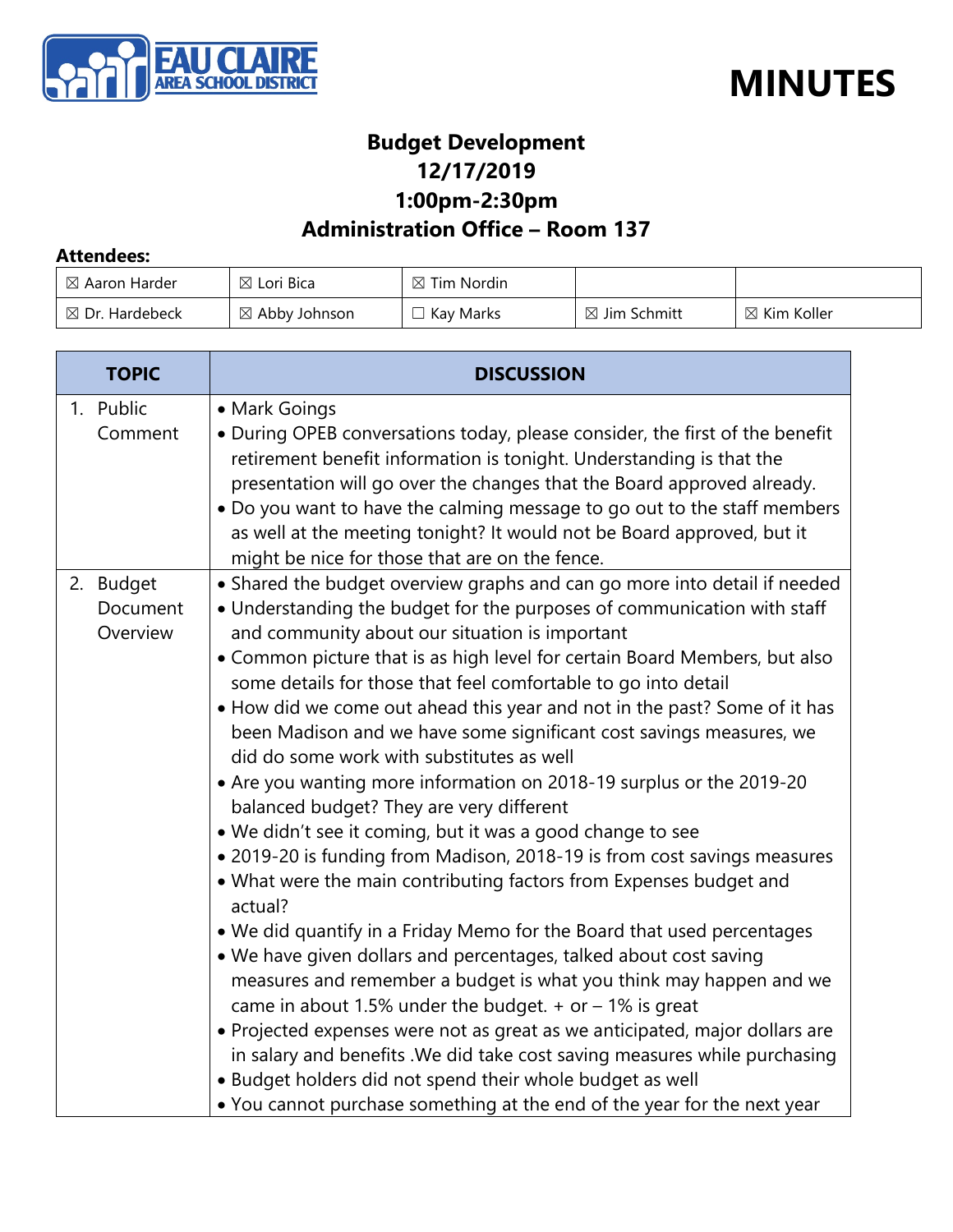



#### **Budget Development 12/17/2019 1:00pm-2:30pm**

#### **Administration Office – Room 137**

#### **Attendees:**

| $\boxtimes$ Aaron Harder  | $\boxtimes$ Lori Bica    | $\boxtimes$ Tim Nordin |                         |                        |
|---------------------------|--------------------------|------------------------|-------------------------|------------------------|
| $\boxtimes$ Dr. Hardebeck | $\boxtimes$ Abby Johnson | Kay Marks              | $\boxtimes$ Jim Schmitt | $\boxtimes$ Kim Koller |

| <b>TOPIC</b>                      | <b>DISCUSSION</b>                                                                                                                                                                                                                                                                                                                                                                                                                                                                                                                                                                                                                                                                                                                                                                                                                                                                                                                                                                                                                                                                                                                                                                                                                                                                                                                                                                                                                                                                               |
|-----------------------------------|-------------------------------------------------------------------------------------------------------------------------------------------------------------------------------------------------------------------------------------------------------------------------------------------------------------------------------------------------------------------------------------------------------------------------------------------------------------------------------------------------------------------------------------------------------------------------------------------------------------------------------------------------------------------------------------------------------------------------------------------------------------------------------------------------------------------------------------------------------------------------------------------------------------------------------------------------------------------------------------------------------------------------------------------------------------------------------------------------------------------------------------------------------------------------------------------------------------------------------------------------------------------------------------------------------------------------------------------------------------------------------------------------------------------------------------------------------------------------------------------------|
| 1. Public<br>Comment              | • Mark Goings<br>• During OPEB conversations today, please consider, the first of the benefit<br>retirement benefit information is tonight. Understanding is that the<br>presentation will go over the changes that the Board approved already.<br>. Do you want to have the calming message to go out to the staff members<br>as well at the meeting tonight? It would not be Board approved, but it<br>might be nice for those that are on the fence.                                                                                                                                                                                                                                                                                                                                                                                                                                                                                                                                                                                                                                                                                                                                                                                                                                                                                                                                                                                                                                         |
| 2. Budget<br>Document<br>Overview | • Shared the budget overview graphs and can go more into detail if needed<br>• Understanding the budget for the purposes of communication with staff<br>and community about our situation is important<br>• Common picture that is as high level for certain Board Members, but also<br>some details for those that feel comfortable to go into detail<br>• How did we come out ahead this year and not in the past? Some of it has<br>been Madison and we have some significant cost savings measures, we<br>did do some work with substitutes as well<br>• Are you wanting more information on 2018-19 surplus or the 2019-20<br>balanced budget? They are very different<br>. We didn't see it coming, but it was a good change to see<br>• 2019-20 is funding from Madison, 2018-19 is from cost savings measures<br>• What were the main contributing factors from Expenses budget and<br>actual?<br>• We did quantify in a Friday Memo for the Board that used percentages<br>. We have given dollars and percentages, talked about cost saving<br>measures and remember a budget is what you think may happen and we<br>came in about 1.5% under the budget. $+$ or $-$ 1% is great<br>• Projected expenses were not as great as we anticipated, major dollars are<br>in salary and benefits. We did take cost saving measures while purchasing<br>• Budget holders did not spend their whole budget as well<br>• You cannot purchase something at the end of the year for the next year |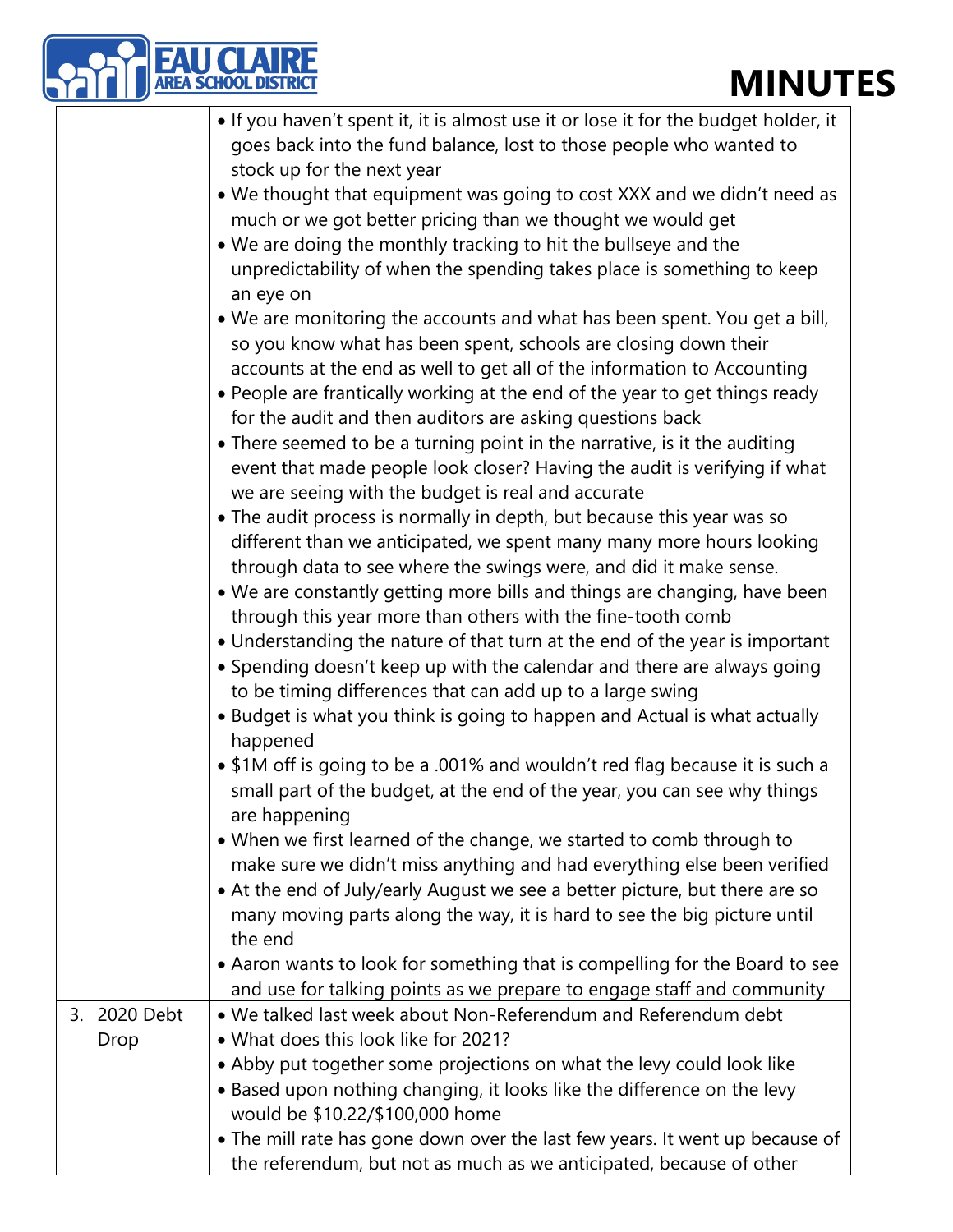|    |           | <b>MINUT</b>                                                                                                                                                                                                            |
|----|-----------|-------------------------------------------------------------------------------------------------------------------------------------------------------------------------------------------------------------------------|
|    |           |                                                                                                                                                                                                                         |
|    |           | • If you haven't spent it, it is almost use it or lose it for the budget holder, it<br>goes back into the fund balance, lost to those people who wanted to<br>stock up for the next year                                |
|    |           | . We thought that equipment was going to cost XXX and we didn't need as<br>much or we got better pricing than we thought we would get<br>. We are doing the monthly tracking to hit the bullseye and the                |
|    |           | unpredictability of when the spending takes place is something to keep<br>an eye on                                                                                                                                     |
|    |           | • We are monitoring the accounts and what has been spent. You get a bill,<br>so you know what has been spent, schools are closing down their<br>accounts at the end as well to get all of the information to Accounting |
|    |           | . People are frantically working at the end of the year to get things ready<br>for the audit and then auditors are asking questions back                                                                                |
|    |           | • There seemed to be a turning point in the narrative, is it the auditing<br>event that made people look closer? Having the audit is verifying if what<br>we are seeing with the budget is real and accurate            |
|    |           | • The audit process is normally in depth, but because this year was so<br>different than we anticipated, we spent many many more hours looking<br>through data to see where the swings were, and did it make sense.     |
|    |           | . We are constantly getting more bills and things are changing, have been<br>through this year more than others with the fine-tooth comb                                                                                |
|    |           | • Understanding the nature of that turn at the end of the year is important<br>• Spending doesn't keep up with the calendar and there are always going<br>to be timing differences that can add up to a large swing     |
|    |           | • Budget is what you think is going to happen and Actual is what actually<br>happened                                                                                                                                   |
|    |           | • \$1M off is going to be a .001% and wouldn't red flag because it is such a<br>small part of the budget, at the end of the year, you can see why things<br>are happening                                               |
|    |           | • When we first learned of the change, we started to comb through to<br>make sure we didn't miss anything and had everything else been verified                                                                         |
|    |           | • At the end of July/early August we see a better picture, but there are so<br>many moving parts along the way, it is hard to see the big picture until<br>the end                                                      |
|    |           | • Aaron wants to look for something that is compelling for the Board to see<br>and use for talking points as we prepare to engage staff and community                                                                   |
| 3. | 2020 Debt | • We talked last week about Non-Referendum and Referendum debt                                                                                                                                                          |
|    | Drop      | . What does this look like for 2021?                                                                                                                                                                                    |
|    |           | • Abby put together some projections on what the levy could look like                                                                                                                                                   |
|    |           | • Based upon nothing changing, it looks like the difference on the levy<br>would be \$10.22/\$100,000 home                                                                                                              |
|    |           | • The mill rate has gone down over the last few years. It went up because of                                                                                                                                            |
|    |           | the referendum, but not as much as we anticipated, because of other                                                                                                                                                     |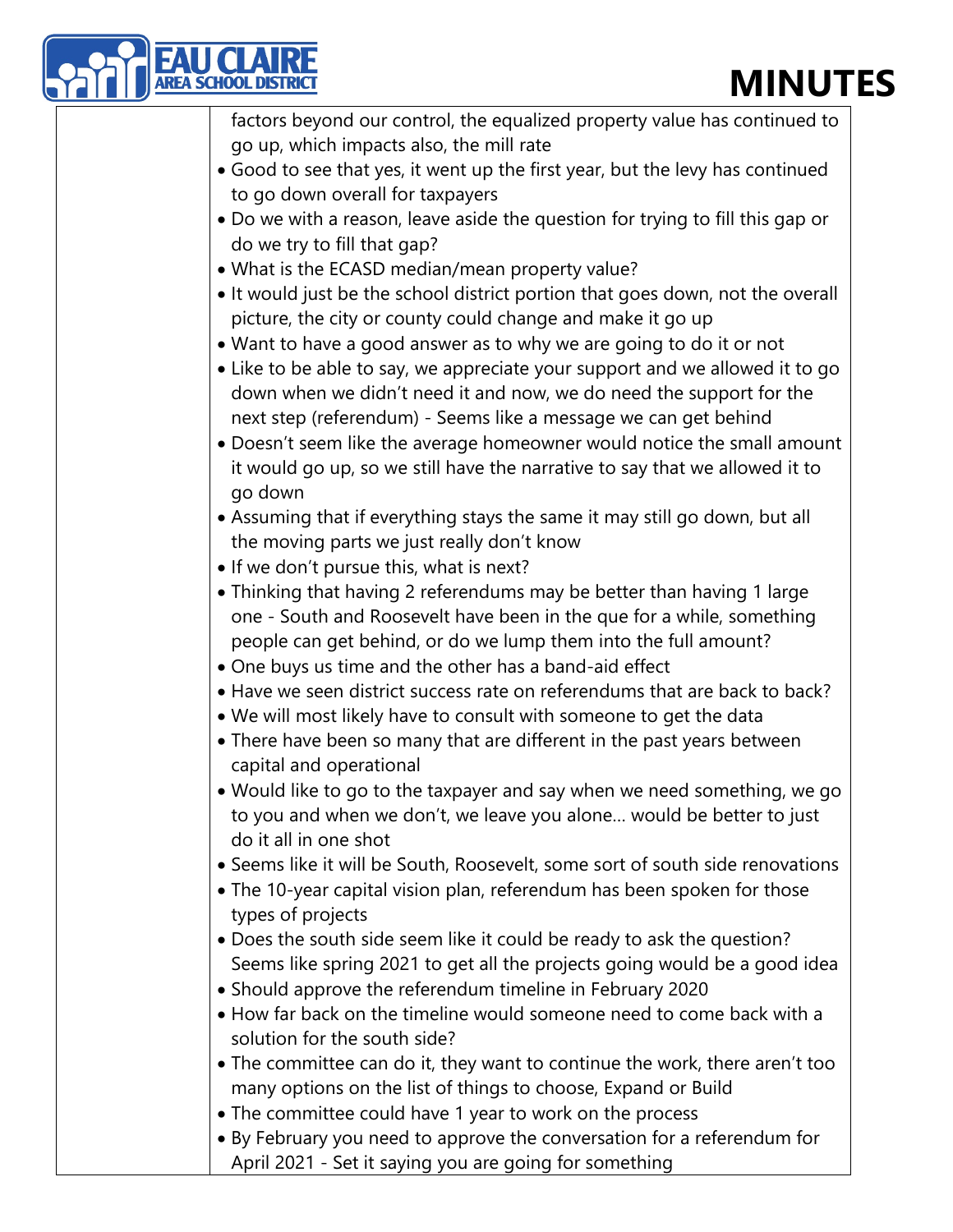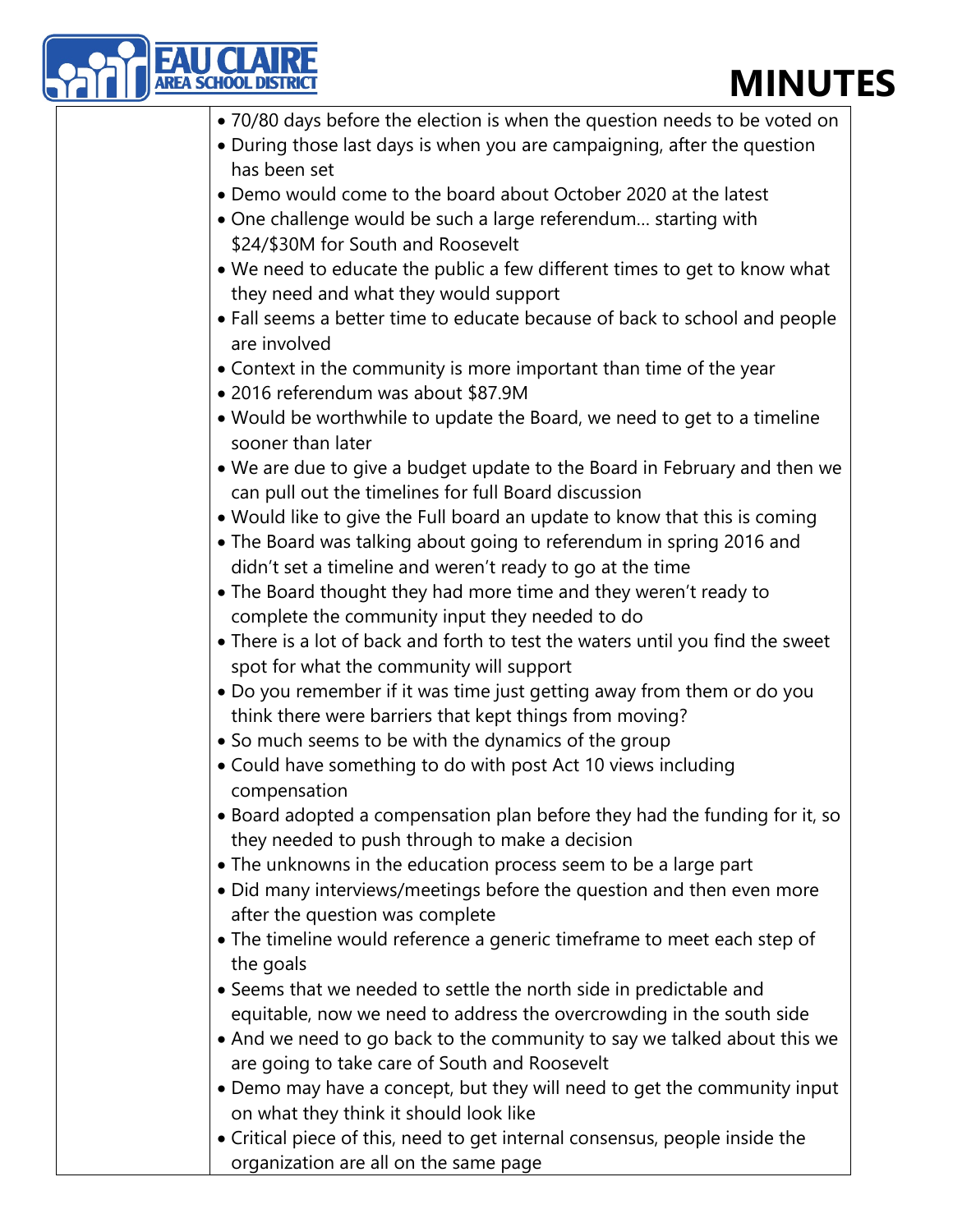| <b>MINUT</b>                                                                                             |
|----------------------------------------------------------------------------------------------------------|
| • 70/80 days before the election is when the question needs to be voted on                               |
| • During those last days is when you are campaigning, after the question                                 |
| has been set                                                                                             |
| • Demo would come to the board about October 2020 at the latest                                          |
| • One challenge would be such a large referendum starting with                                           |
| \$24/\$30M for South and Roosevelt                                                                       |
| • We need to educate the public a few different times to get to know what                                |
| they need and what they would support                                                                    |
| • Fall seems a better time to educate because of back to school and people<br>are involved               |
| • Context in the community is more important than time of the year                                       |
| • 2016 referendum was about \$87.9M                                                                      |
| • Would be worthwhile to update the Board, we need to get to a timeline                                  |
| sooner than later                                                                                        |
| • We are due to give a budget update to the Board in February and then we                                |
| can pull out the timelines for full Board discussion                                                     |
| . Would like to give the Full board an update to know that this is coming                                |
| • The Board was talking about going to referendum in spring 2016 and                                     |
| didn't set a timeline and weren't ready to go at the time                                                |
| • The Board thought they had more time and they weren't ready to                                         |
| complete the community input they needed to do                                                           |
| • There is a lot of back and forth to test the waters until you find the sweet                           |
| spot for what the community will support                                                                 |
| • Do you remember if it was time just getting away from them or do you                                   |
| think there were barriers that kept things from moving?                                                  |
| • So much seems to be with the dynamics of the group                                                     |
| • Could have something to do with post Act 10 views including                                            |
| compensation                                                                                             |
| • Board adopted a compensation plan before they had the funding for it, so                               |
| they needed to push through to make a decision                                                           |
| • The unknowns in the education process seem to be a large part                                          |
| • Did many interviews/meetings before the question and then even more<br>after the question was complete |
| • The timeline would reference a generic timeframe to meet each step of                                  |
| the goals                                                                                                |
| • Seems that we needed to settle the north side in predictable and                                       |
| equitable, now we need to address the overcrowding in the south side                                     |
| • And we need to go back to the community to say we talked about this we                                 |
| are going to take care of South and Roosevelt                                                            |
| • Demo may have a concept, but they will need to get the community input                                 |
| on what they think it should look like                                                                   |
| • Critical piece of this, need to get internal consensus, people inside the                              |
| organization are all on the same page                                                                    |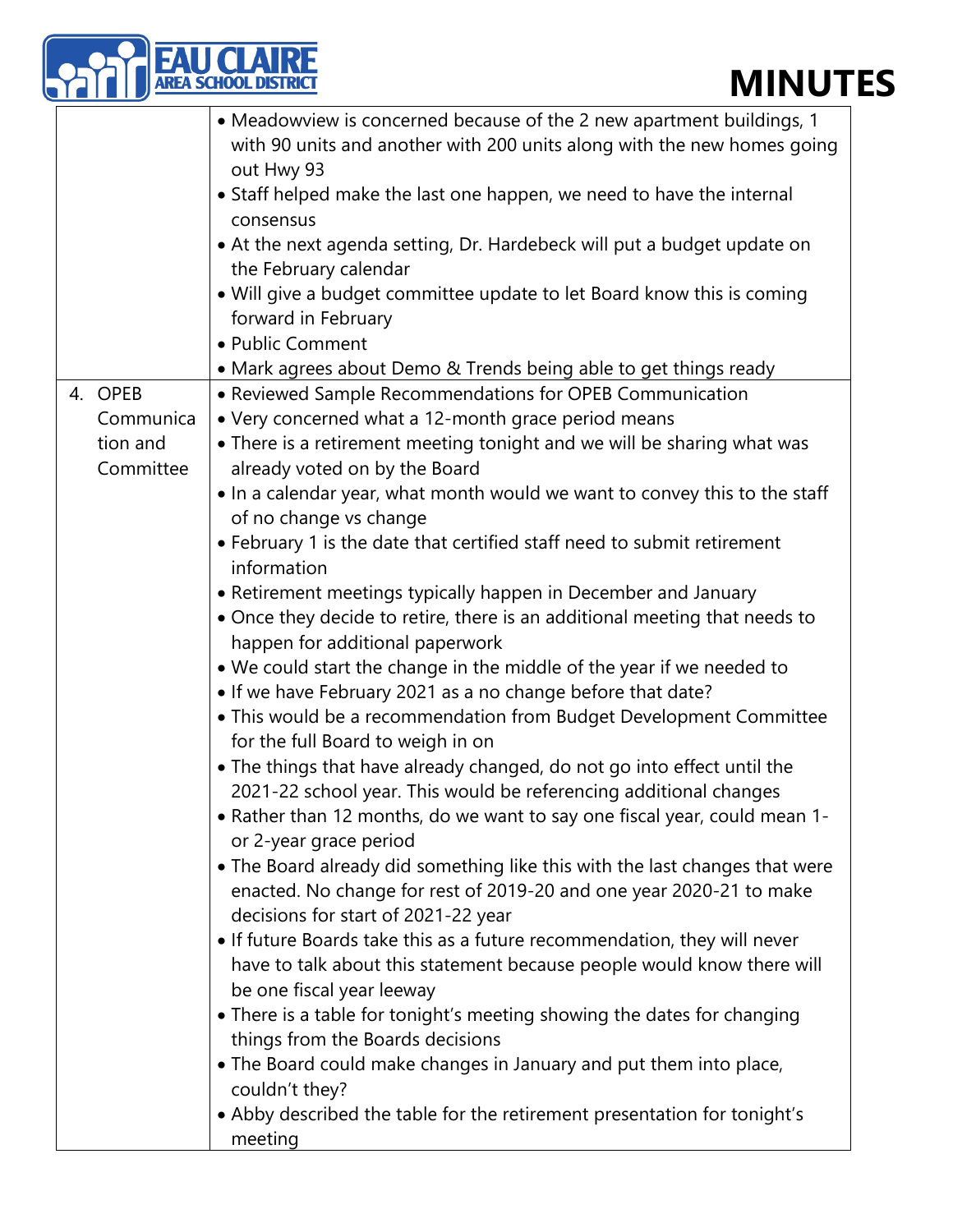|                                               | <b>AREA SCHOOL DISTRIC</b><br><b>MINU</b>                                                                                                                                                                                                                                                                                                                                                                                                                                                                                                                                                                                                                                                                                                                                                                                                                                                                                                                                                                                                                                                                                                                                                                                                                                                                     |
|-----------------------------------------------|---------------------------------------------------------------------------------------------------------------------------------------------------------------------------------------------------------------------------------------------------------------------------------------------------------------------------------------------------------------------------------------------------------------------------------------------------------------------------------------------------------------------------------------------------------------------------------------------------------------------------------------------------------------------------------------------------------------------------------------------------------------------------------------------------------------------------------------------------------------------------------------------------------------------------------------------------------------------------------------------------------------------------------------------------------------------------------------------------------------------------------------------------------------------------------------------------------------------------------------------------------------------------------------------------------------|
| 4. OPEB<br>Communica<br>tion and<br>Committee | • Meadowview is concerned because of the 2 new apartment buildings, 1<br>with 90 units and another with 200 units along with the new homes going<br>out Hwy 93<br>• Staff helped make the last one happen, we need to have the internal<br>consensus<br>• At the next agenda setting, Dr. Hardebeck will put a budget update on<br>the February calendar<br>• Will give a budget committee update to let Board know this is coming<br>forward in February<br>• Public Comment<br>• Mark agrees about Demo & Trends being able to get things ready<br>• Reviewed Sample Recommendations for OPEB Communication<br>• Very concerned what a 12-month grace period means<br>• There is a retirement meeting tonight and we will be sharing what was<br>already voted on by the Board<br>• In a calendar year, what month would we want to convey this to the staff<br>of no change vs change<br>• February 1 is the date that certified staff need to submit retirement<br>information<br>• Retirement meetings typically happen in December and January<br>• Once they decide to retire, there is an additional meeting that needs to<br>happen for additional paperwork<br>. We could start the change in the middle of the year if we needed to<br>• If we have February 2021 as a no change before that date? |
|                                               | • This would be a recommendation from Budget Development Committee<br>for the full Board to weigh in on<br>. The things that have already changed, do not go into effect until the<br>2021-22 school year. This would be referencing additional changes<br>• Rather than 12 months, do we want to say one fiscal year, could mean 1-<br>or 2-year grace period<br>• The Board already did something like this with the last changes that were<br>enacted. No change for rest of 2019-20 and one year 2020-21 to make<br>decisions for start of 2021-22 year<br>• If future Boards take this as a future recommendation, they will never<br>have to talk about this statement because people would know there will<br>be one fiscal year leeway<br>• There is a table for tonight's meeting showing the dates for changing<br>things from the Boards decisions<br>• The Board could make changes in January and put them into place,<br>couldn't they?<br>• Abby described the table for the retirement presentation for tonight's<br>meeting                                                                                                                                                                                                                                                                  |